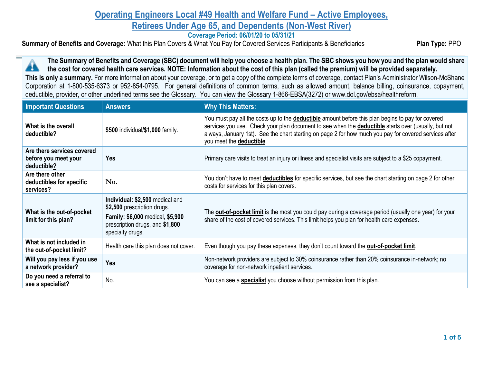## **Operating Engineers Local #49 Health and Welfare Fund – Active Employees, Retirees Under Age 65, and Dependents (Non-West River)**

**Coverage Period: 06/01/20 to 05/31/21**

**Summary of Benefits and Coverage:** What this Plan Covers & What You Pay for Covered Services Participants & Beneficiaries **Plan Type: PPO** 

**The Summary of Benefits and Coverage (SBC) document will help you choose a health plan. The SBC shows you how you and the plan would share**  A **the cost for covered health care services. NOTE: Information about the cost of this plan (called the premium) will be provided separately. This is only a summary.** For more information about your coverage, or to get a copy of the complete terms of coverage, contact Plan's Administrator Wilson-McShane Corporation at 1-800-535-6373 or 952-854-0795. For general definitions of common terms, such as allowed amount, balance billing, coinsurance, copayment, deductible, provider, or other underlined terms see the Glossary. You can view the Glossary 1-866-EBSA(3272) or www.dol.gov/ebsa/healthreform.

| <b>Important Questions</b>                                        | <b>Answers</b>                                                                                                                                                   | <b>Why This Matters:</b>                                                                                                                                                                                                                                                                                                                              |
|-------------------------------------------------------------------|------------------------------------------------------------------------------------------------------------------------------------------------------------------|-------------------------------------------------------------------------------------------------------------------------------------------------------------------------------------------------------------------------------------------------------------------------------------------------------------------------------------------------------|
| What is the overall<br>deductible?                                | \$500 individual/\$1,000 family.                                                                                                                                 | You must pay all the costs up to the <b>deductible</b> amount before this plan begins to pay for covered<br>services you use. Check your plan document to see when the deductible starts over (usually, but not<br>always, January 1st). See the chart starting on page 2 for how much you pay for covered services after<br>you meet the deductible. |
| Are there services covered<br>before you meet your<br>deductible? | <b>Yes</b>                                                                                                                                                       | Primary care visits to treat an injury or illness and specialist visits are subject to a \$25 copayment.                                                                                                                                                                                                                                              |
| Are there other<br>deductibles for specific<br>services?          | No.                                                                                                                                                              | You don't have to meet <b>deductibles</b> for specific services, but see the chart starting on page 2 for other<br>costs for services for this plan covers.                                                                                                                                                                                           |
| What is the out-of-pocket<br>limit for this plan?                 | Individual: \$2,500 medical and<br>\$2,500 prescription drugs.<br><b>Family: \$6,000 medical, \$5,900</b><br>prescription drugs, and \$1,800<br>specialty drugs. | The <b>out-of-pocket limit</b> is the most you could pay during a coverage period (usually one year) for your<br>share of the cost of covered services. This limit helps you plan for health care expenses.                                                                                                                                           |
| What is not included in<br>the out-of-pocket limit?               | Health care this plan does not cover.                                                                                                                            | Even though you pay these expenses, they don't count toward the <b>out-of-pocket limit</b> .                                                                                                                                                                                                                                                          |
| Will you pay less if you use<br>a network provider?               | <b>Yes</b>                                                                                                                                                       | Non-network providers are subject to 30% coinsurance rather than 20% coinsurance in-network; no<br>coverage for non-network inpatient services.                                                                                                                                                                                                       |
| Do you need a referral to<br>see a specialist?                    | No.                                                                                                                                                              | You can see a specialist you choose without permission from this plan.                                                                                                                                                                                                                                                                                |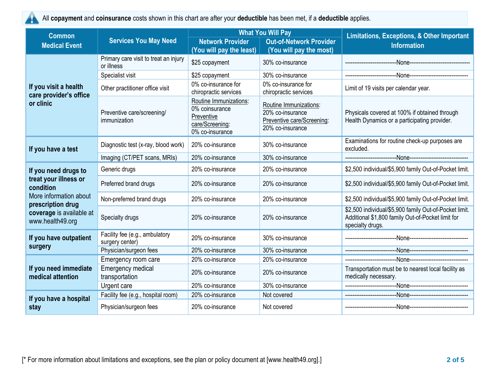

All **copayment** and **coinsurance** costs shown in this chart are after your **deductible** has been met, if a **deductible** applies.

| <b>Common</b>                                   | <b>Services You May Need</b>                        |                                                                                              | <b>What You Will Pay</b>                                                                     | <b>Limitations, Exceptions, &amp; Other Important</b>                                                                           |  |
|-------------------------------------------------|-----------------------------------------------------|----------------------------------------------------------------------------------------------|----------------------------------------------------------------------------------------------|---------------------------------------------------------------------------------------------------------------------------------|--|
| <b>Medical Event</b>                            |                                                     | <b>Network Provider</b><br>(You will pay the least)                                          | <b>Out-of-Network Provider</b><br>(You will pay the most)                                    | <b>Information</b>                                                                                                              |  |
|                                                 | Primary care visit to treat an injury<br>or illness | \$25 copayment                                                                               | 30% co-insurance                                                                             |                                                                                                                                 |  |
|                                                 | Specialist visit                                    | \$25 copayment                                                                               | 30% co-insurance                                                                             | --None---------------------------<br>-------------------------                                                                  |  |
| If you visit a health<br>care provider's office | Other practitioner office visit                     | 0% co-insurance for<br>chiropractic services                                                 | 0% co-insurance for<br>chiropractic services                                                 | Limit of 19 visits per calendar year.                                                                                           |  |
| or clinic                                       | Preventive care/screening/<br>immunization          | Routine Immunizations:<br>0% coinsurance<br>Preventive<br>care/Screening:<br>0% co-insurance | Routine Immunizations:<br>20% co-insurance<br>Preventive care/Screening:<br>20% co-insurance | Physicals covered at 100% if obtained through<br>Health Dynamics or a participating provider.                                   |  |
| If you have a test                              | Diagnostic test (x-ray, blood work)                 | 20% co-insurance                                                                             | 30% co-insurance                                                                             | Examinations for routine check-up purposes are<br>excluded.                                                                     |  |
|                                                 | Imaging (CT/PET scans, MRIs)                        | 20% co-insurance                                                                             | 30% co-insurance                                                                             |                                                                                                                                 |  |
| If you need drugs to                            | Generic drugs                                       | 20% co-insurance                                                                             | 20% co-insurance                                                                             | \$2,500 individual/\$5,900 family Out-of-Pocket limit.                                                                          |  |
| treat your illness or<br>condition              | Preferred brand drugs                               | 20% co-insurance                                                                             | 20% co-insurance                                                                             | \$2,500 individual/\$5,900 family Out-of-Pocket limit.                                                                          |  |
| More information about<br>prescription drug     | Non-preferred brand drugs                           | 20% co-insurance                                                                             | 20% co-insurance                                                                             | \$2,500 individual/\$5,900 family Out-of-Pocket limit.                                                                          |  |
| coverage is available at<br>www.health49.org    | Specialty drugs                                     | 20% co-insurance                                                                             | 20% co-insurance                                                                             | \$2,500 individual/\$5,900 family Out-of-Pocket limit.<br>Additional \$1,800 family Out-of-Pocket limit for<br>specialty drugs. |  |
| If you have outpatient                          | Facility fee (e.g., ambulatory<br>surgery center)   | 20% co-insurance                                                                             | 30% co-insurance                                                                             |                                                                                                                                 |  |
| surgery                                         | Physician/surgeon fees                              | 20% co-insurance                                                                             | 30% co-insurance                                                                             |                                                                                                                                 |  |
|                                                 | Emergency room care                                 | 20% co-insurance                                                                             | 20% co-insurance                                                                             |                                                                                                                                 |  |
| If you need immediate<br>medical attention      | <b>Emergency medical</b><br>transportation          | 20% co-insurance                                                                             | 20% co-insurance                                                                             | Transportation must be to nearest local facility as<br>medically necessary.                                                     |  |
|                                                 | Urgent care                                         | 20% co-insurance                                                                             | 30% co-insurance                                                                             | --None--------------------------------<br>-------------------------                                                             |  |
| If you have a hospital                          | Facility fee (e.g., hospital room)                  | 20% co-insurance                                                                             | Not covered                                                                                  |                                                                                                                                 |  |
| stay                                            | Physician/surgeon fees                              | 20% co-insurance                                                                             | Not covered                                                                                  |                                                                                                                                 |  |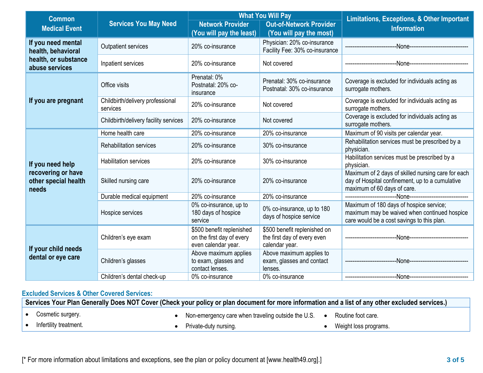| <b>Common</b>                                       |                                              |                                                                               | <b>What You Will Pay</b>                                                      | <b>Limitations, Exceptions, &amp; Other Important</b><br><b>Information</b>                                                           |  |
|-----------------------------------------------------|----------------------------------------------|-------------------------------------------------------------------------------|-------------------------------------------------------------------------------|---------------------------------------------------------------------------------------------------------------------------------------|--|
| <b>Medical Event</b>                                | <b>Services You May Need</b>                 | <b>Network Provider</b><br>(You will pay the least)                           | <b>Out-of-Network Provider</b><br>(You will pay the most)                     |                                                                                                                                       |  |
| If you need mental<br>health, behavioral            | <b>Outpatient services</b>                   | 20% co-insurance                                                              | Physician: 20% co-insurance<br>Facility Fee: 30% co-insurance                 | --None-------------------------------                                                                                                 |  |
| health, or substance<br>abuse services              | Inpatient services                           | 20% co-insurance                                                              | Not covered                                                                   | --None--------------------------                                                                                                      |  |
|                                                     | Office visits                                | Prenatal: 0%<br>Postnatal: 20% co-<br>insurance                               | Prenatal: 30% co-insurance<br>Postnatal: 30% co-insurance                     | Coverage is excluded for individuals acting as<br>surrogate mothers.                                                                  |  |
| If you are pregnant                                 | Childbirth/delivery professional<br>services | 20% co-insurance                                                              | Not covered                                                                   | Coverage is excluded for individuals acting as<br>surrogate mothers.                                                                  |  |
|                                                     | Childbirth/delivery facility services        | 20% co-insurance                                                              | Not covered                                                                   | Coverage is excluded for individuals acting as<br>surrogate mothers.                                                                  |  |
|                                                     | Home health care                             | 20% co-insurance                                                              | 20% co-insurance                                                              | Maximum of 90 visits per calendar year.                                                                                               |  |
|                                                     | <b>Rehabilitation services</b>               | 20% co-insurance                                                              | 30% co-insurance                                                              | Rehabilitation services must be prescribed by a<br>physician.                                                                         |  |
| If you need help                                    | <b>Habilitation services</b>                 | 20% co-insurance                                                              | 30% co-insurance                                                              | Habilitation services must be prescribed by a<br>physician.                                                                           |  |
| recovering or have<br>other special health<br>needs | Skilled nursing care                         | 20% co-insurance                                                              | 20% co-insurance                                                              | Maximum of 2 days of skilled nursing care for each<br>day of Hospital confinement, up to a cumulative<br>maximum of 60 days of care.  |  |
|                                                     | Durable medical equipment                    | 20% co-insurance                                                              | 20% co-insurance                                                              |                                                                                                                                       |  |
|                                                     | Hospice services                             | 0% co-insurance, up to<br>180 days of hospice<br>service                      | 0% co-insurance, up to 180<br>days of hospice service                         | Maximum of 180 days of hospice service;<br>maximum may be waived when continued hospice<br>care would be a cost savings to this plan. |  |
|                                                     | Children's eye exam                          | \$500 benefit replenished<br>on the first day of every<br>even calendar year. | \$500 benefit replenished on<br>the first day of every even<br>calendar year. |                                                                                                                                       |  |
| If your child needs<br>dental or eye care           | Children's glasses                           | Above maximum applies<br>to exam, glasses and<br>contact lenses.              | Above maximum applies to<br>exam, glasses and contact<br>lenses.              |                                                                                                                                       |  |
|                                                     | Children's dental check-up                   | 0% co-insurance                                                               | 0% co-insurance                                                               |                                                                                                                                       |  |

## **Excluded Services & Other Covered Services:**

**Services Your Plan Generally Does NOT Cover (Check your policy or plan document for more information and a list of any other excluded services.)** • Cosmetic surgery. • Infertility treatment. Non-emergency care when traveling outside the U.S. • Private-duty nursing. • Routine foot care. Weight loss programs.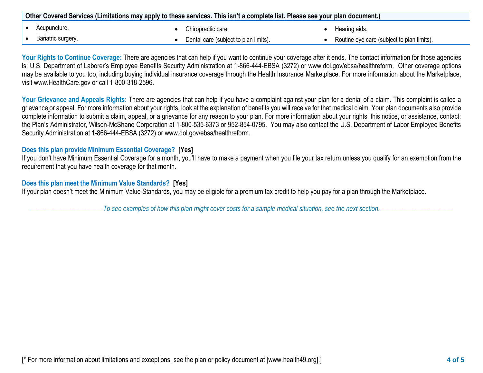| Other Covered Services (Limitations may apply to these services. This isn't a complete list. Please see your plan document.) |                    |  |                                       |  |                                            |
|------------------------------------------------------------------------------------------------------------------------------|--------------------|--|---------------------------------------|--|--------------------------------------------|
|                                                                                                                              | Acupuncture.       |  | Chiropractic care.                    |  | Hearing aids.                              |
|                                                                                                                              | Bariatric surgery. |  | Dental care (subject to plan limits). |  | Routine eye care (subject to plan limits). |

Your Rights to Continue Coverage: There are agencies that can help if you want to continue your coverage after it ends. The contact information for those agencies is: U.S. Department of Laborer's Employee Benefits Security Administration at 1-866-444-EBSA (3272) or www.dol.gov/ebsa/healthreform. Other coverage options may be available to you too, including buying individual insurance coverage through the Health Insurance Marketplace. For more information about the Marketplace, visit www.HealthCare.gov or call 1-800-318-2596.

Your Grievance and Appeals Rights: There are agencies that can help if you have a complaint against your plan for a denial of a claim. This complaint is called a grievance or appeal. For more information about your rights, look at the explanation of benefits you will receive for that medical claim. Your plan documents also provide complete information to submit a claim, appeal, or a grievance for any reason to your plan. For more information about your rights, this notice, or assistance, contact: the Plan's Administrator, Wilson-McShane Corporation at 1-800-535-6373 or 952-854-0795. You may also contact the U.S. Department of Labor Employee Benefits Security Administration at 1-866-444-EBSA (3272) or www.dol.gov/ebsa/healthreform.

## **Does this plan provide Minimum Essential Coverage? [Yes]**

If you don't have Minimum Essential Coverage for a month, you'll have to make a payment when you file your tax return unless you qualify for an exemption from the requirement that you have health coverage for that month.

## **Does this plan meet the Minimum Value Standards? [Yes]**

If your plan doesn't meet the Minimum Value Standards, you may be eligible for a premium tax credit to help you pay for a plan through the Marketplace.

––––––––––––––––––––––*To see examples of how this plan might cover costs for a sample medical situation, see the next section.–––––––––––*–––––––––––